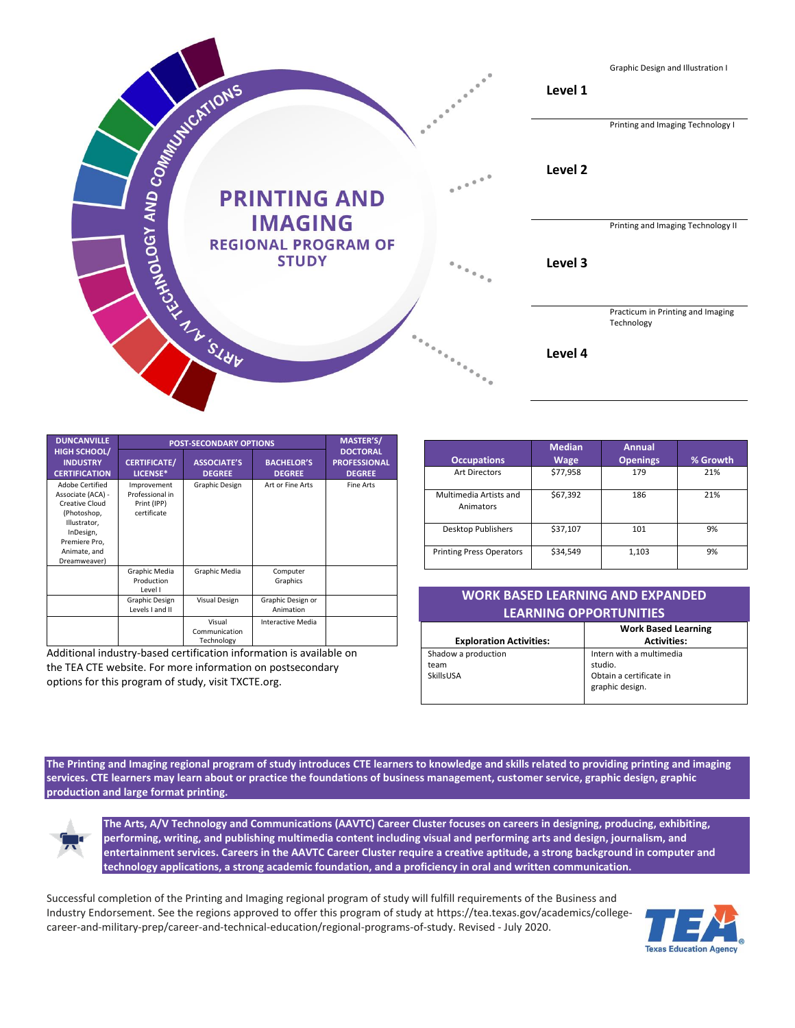

| <b>DUNCANVILLE</b>                                                                                                                                         | <b>POST-SECONDARY OPTIONS</b>                                |                                       |                                    | <b>MASTER'S/</b>                                        |
|------------------------------------------------------------------------------------------------------------------------------------------------------------|--------------------------------------------------------------|---------------------------------------|------------------------------------|---------------------------------------------------------|
| <b>HIGH SCHOOL/</b><br><b>INDUSTRY</b><br><b>CERTIFICATION</b>                                                                                             | <b>CERTIFICATE/</b><br>LICENSE*                              | <b>ASSOCIATE'S</b><br><b>DEGREE</b>   | <b>BACHELOR'S</b><br><b>DEGREE</b> | <b>DOCTORAL</b><br><b>PROFESSIONAL</b><br><b>DEGREE</b> |
| Adobe Certified<br>Associate (ACA) -<br><b>Creative Cloud</b><br>(Photoshop,<br>Illustrator,<br>InDesign,<br>Premiere Pro,<br>Animate, and<br>Dreamweaver) | Improvement<br>Professional in<br>Print (IPP)<br>certificate | Graphic Design                        | Art or Fine Arts                   | Fine Arts                                               |
|                                                                                                                                                            | Graphic Media<br>Production<br>Level I                       | Graphic Media                         | Computer<br>Graphics               |                                                         |
|                                                                                                                                                            | Graphic Design<br>Levels I and II                            | Visual Design                         | Graphic Design or<br>Animation     |                                                         |
|                                                                                                                                                            |                                                              | Visual<br>Communication<br>Technology | Interactive Media                  |                                                         |

Additional industry-based certification information is available on the TEA CTE website. For more information on postsecondary options for this program of study, visit TXCTE.org.

| <b>Occupations</b>                  | <b>Median</b><br><b>Wage</b> | <b>Annual</b><br><b>Openings</b> | % Growth |
|-------------------------------------|------------------------------|----------------------------------|----------|
| <b>Art Directors</b>                | \$77,958                     | 179                              | 21%      |
| Multimedia Artists and<br>Animators | \$67,392                     | 186                              | 21%      |
| Desktop Publishers                  | \$37,107                     | 101                              | 9%       |
| <b>Printing Press Operators</b>     | \$34,549                     | 1,103                            | 9%       |

| <b>WORK BASED LEARNING AND EXPANDED</b> |                            |  |  |  |
|-----------------------------------------|----------------------------|--|--|--|
| <b>LEARNING OPPORTUNITIES</b>           |                            |  |  |  |
|                                         | <b>Work Based Learning</b> |  |  |  |

| <b>Exploration Activities:</b> | <b>Activities:</b>       |
|--------------------------------|--------------------------|
| Shadow a production            | Intern with a multimedia |
| team                           | studio.                  |
| SkillsUSA                      | Obtain a certificate in  |
|                                | graphic design.          |

**The Printing and Imaging regional program of study introduces CTE learners to knowledge and skills related to providing printing and imaging services. CTE learners may learn about or practice the foundations of business management, customer service, graphic design, graphic production and large format printing.**



**The Arts, A/V Technology and Communications (AAVTC) Career Cluster focuses on careers in designing, producing, exhibiting, performing, writing, and publishing multimedia content including visual and performing arts and design, journalism, and entertainment services. Careers in the AAVTC Career Cluster require a creative aptitude, a strong background in computer and technology applications, a strong academic foundation, and a proficiency in oral and written communication.**

Successful completion of the Printing and Imaging regional program of study will fulfill requirements of the Business and Industry Endorsement. See the regions approved to offer this program of study a[t https://tea.texas.gov/academics/college](https://nam10.safelinks.protection.outlook.com/?url=https%3A%2F%2Ftea.texas.gov%2Facademics%2Fcollege-career-and-military-prep%2Fcareer-and-technical-education%2Fregional-programs-of-study&data=02%7C01%7CTerri.Parlett%40tea.texas.gov%7Cfe22a4f8e5334ef936e708d819295711%7C65d6b3c3723648189613248dbd713a6f%7C0%7C0%7C637287012649348979&sdata=bBVeFBjy4dn9gswlvKx6v7OFCN8H0Iy%2FDFa1uSe5hc0%3D&reserved=0)[career-and-military-prep/career-and-technical-education/regional-programs-of-study.](https://nam10.safelinks.protection.outlook.com/?url=https%3A%2F%2Ftea.texas.gov%2Facademics%2Fcollege-career-and-military-prep%2Fcareer-and-technical-education%2Fregional-programs-of-study&data=02%7C01%7CTerri.Parlett%40tea.texas.gov%7Cfe22a4f8e5334ef936e708d819295711%7C65d6b3c3723648189613248dbd713a6f%7C0%7C0%7C637287012649348979&sdata=bBVeFBjy4dn9gswlvKx6v7OFCN8H0Iy%2FDFa1uSe5hc0%3D&reserved=0) Revised - July 2020.